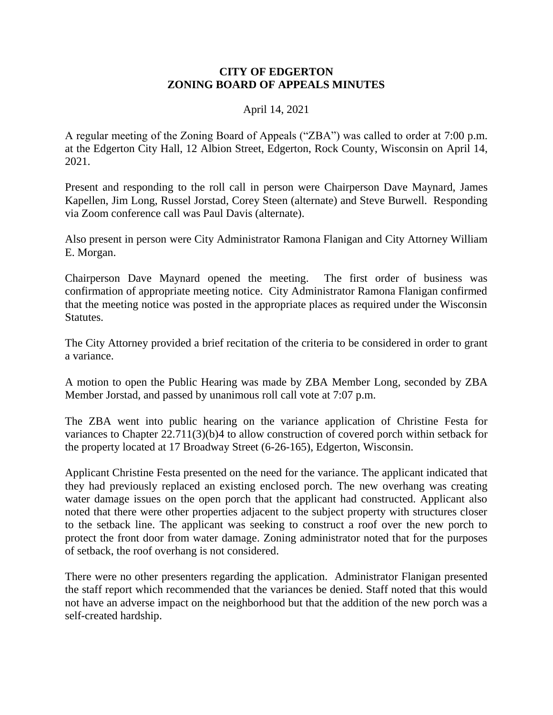## **CITY OF EDGERTON ZONING BOARD OF APPEALS MINUTES**

## April 14, 2021

A regular meeting of the Zoning Board of Appeals ("ZBA") was called to order at 7:00 p.m. at the Edgerton City Hall, 12 Albion Street, Edgerton, Rock County, Wisconsin on April 14, 2021.

Present and responding to the roll call in person were Chairperson Dave Maynard, James Kapellen, Jim Long, Russel Jorstad, Corey Steen (alternate) and Steve Burwell. Responding via Zoom conference call was Paul Davis (alternate).

Also present in person were City Administrator Ramona Flanigan and City Attorney William E. Morgan.

Chairperson Dave Maynard opened the meeting. The first order of business was confirmation of appropriate meeting notice. City Administrator Ramona Flanigan confirmed that the meeting notice was posted in the appropriate places as required under the Wisconsin Statutes.

The City Attorney provided a brief recitation of the criteria to be considered in order to grant a variance.

A motion to open the Public Hearing was made by ZBA Member Long, seconded by ZBA Member Jorstad, and passed by unanimous roll call vote at 7:07 p.m.

The ZBA went into public hearing on the variance application of Christine Festa for variances to Chapter 22.711(3)(b)4 to allow construction of covered porch within setback for the property located at 17 Broadway Street (6-26-165), Edgerton, Wisconsin.

Applicant Christine Festa presented on the need for the variance. The applicant indicated that they had previously replaced an existing enclosed porch. The new overhang was creating water damage issues on the open porch that the applicant had constructed. Applicant also noted that there were other properties adjacent to the subject property with structures closer to the setback line. The applicant was seeking to construct a roof over the new porch to protect the front door from water damage. Zoning administrator noted that for the purposes of setback, the roof overhang is not considered.

There were no other presenters regarding the application. Administrator Flanigan presented the staff report which recommended that the variances be denied. Staff noted that this would not have an adverse impact on the neighborhood but that the addition of the new porch was a self-created hardship.